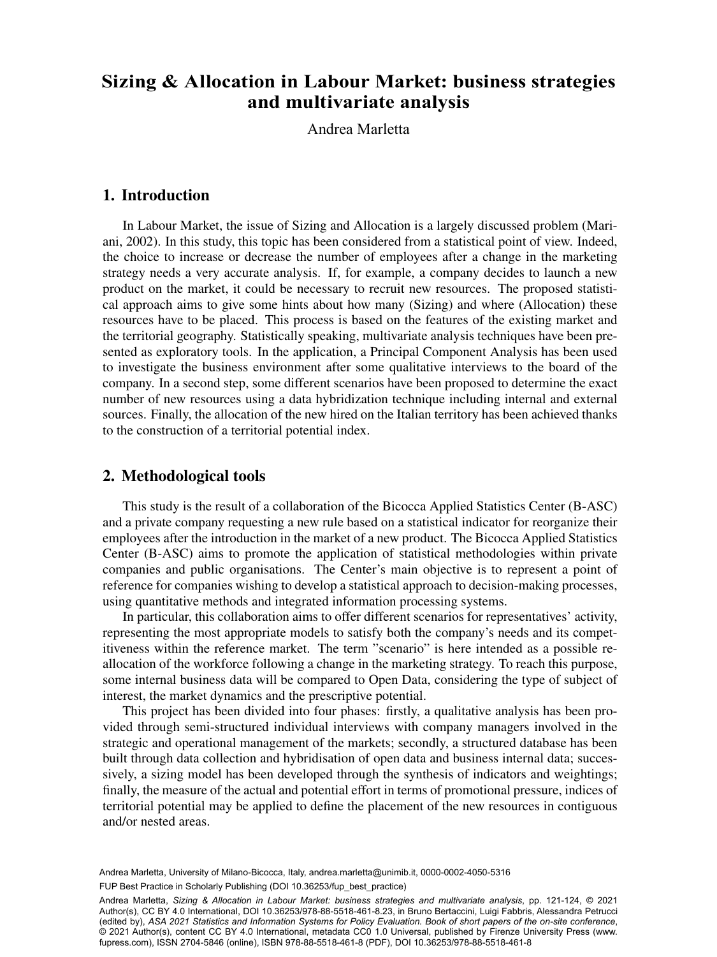# and multivariate analysis a Department of  $\mathcal{L}$ **Sizing & Allocation in Labour Market: business strategies**

Andrea Marletta

### 1. Introduction

In Labour Market, the issue of Sizing and Allocation is a largely discussed problem (Mariani, 2002). In this study, this topic has been considered from a statistical point of view. Indeed, the choice to increase or decrease the number of employees after a change in the marketing strategy needs a very accurate analysis. If, for example, a company decides to launch a new product on the market, it could be necessary to recruit new resources. The proposed statistical approach aims to give some hints about how many (Sizing) and where (Allocation) these resources have to be placed. This process is based on the features of the existing market and the territorial geography. Statistically speaking, multivariate analysis techniques have been presented as exploratory tools. In the application, a Principal Component Analysis has been used to investigate the business environment after some qualitative interviews to the board of the company. In a second step, some different scenarios have been proposed to determine the exact number of new resources using a data hybridization technique including internal and external sources. Finally, the allocation of the new hired on the Italian territory has been achieved thanks to the construction of a territorial potential index.

## 2. Methodological tools

This study is the result of a collaboration of the Bicocca Applied Statistics Center (B-ASC) and a private company requesting a new rule based on a statistical indicator for reorganize their employees after the introduction in the market of a new product. The Bicocca Applied Statistics Center (B-ASC) aims to promote the application of statistical methodologies within private companies and public organisations. The Center's main objective is to represent a point of reference for companies wishing to develop a statistical approach to decision-making processes, using quantitative methods and integrated information processing systems.

In particular, this collaboration aims to offer different scenarios for representatives' activity, representing the most appropriate models to satisfy both the company's needs and its competitiveness within the reference market. The term "scenario" is here intended as a possible reallocation of the workforce following a change in the marketing strategy. To reach this purpose, some internal business data will be compared to Open Data, considering the type of subject of interest, the market dynamics and the prescriptive potential.

This project has been divided into four phases: firstly, a qualitative analysis has been provided through semi-structured individual interviews with company managers involved in the strategic and operational management of the markets; secondly, a structured database has been built through data collection and hybridisation of open data and business internal data; successively, a sizing model has been developed through the synthesis of indicators and weightings; finally, the measure of the actual and potential effort in terms of promotional pressure, indices of territorial potential may be applied to define the placement of the new resources in contiguous and/or nested areas.

Andrea Marletta, University of Milano-Bicocca, Italy, [andrea.marletta@unimib.it](mailto:andrea.marletta@unimib.it), [0000-0002-4050-5316](https://orcid.org/0000-0002-4050-5316)<br>. FUP Best Practice in Scholarly Publishing (DOI [10.36253/fup\\_best\\_practice](https://doi.org/10.36253/fup_best_practice))

Andrea Marletta, *Sizing & Allocation in Labour Market: business strategies and multivariate analysis*, pp. 121-124, © 2021 Author(s), [CC BY 4.0 International](http://creativecommons.org/licenses/by/4.0/legalcode), DOI [10.36253/978-88-5518-461-8.23,](https://doi.org/10.36253/978-88-5518-461-8.23) in Bruno Bertaccini, Luigi Fabbris, Alessandra Petrucci (edited by), *ASA 2021 Statistics and Information Systems for Policy Evaluation. Book of short papers of the on-site conference*, © 2021 Author(s), content [CC BY 4.0 International](http://creativecommons.org/licenses/by/4.0/legalcode), metadata [CC0 1.0 Universal](https://creativecommons.org/publicdomain/zero/1.0/legalcode), published by Firenze University Press [\(www.](http://www.fupress.com) [fupress.com\)](http://www.fupress.com), ISSN 2704-5846 (online), ISBN 978-88-5518-461-8 (PDF), DOI [10.36253/978-88-5518-461-8](https://doi.org/10.36253/978-88-5518-461-8)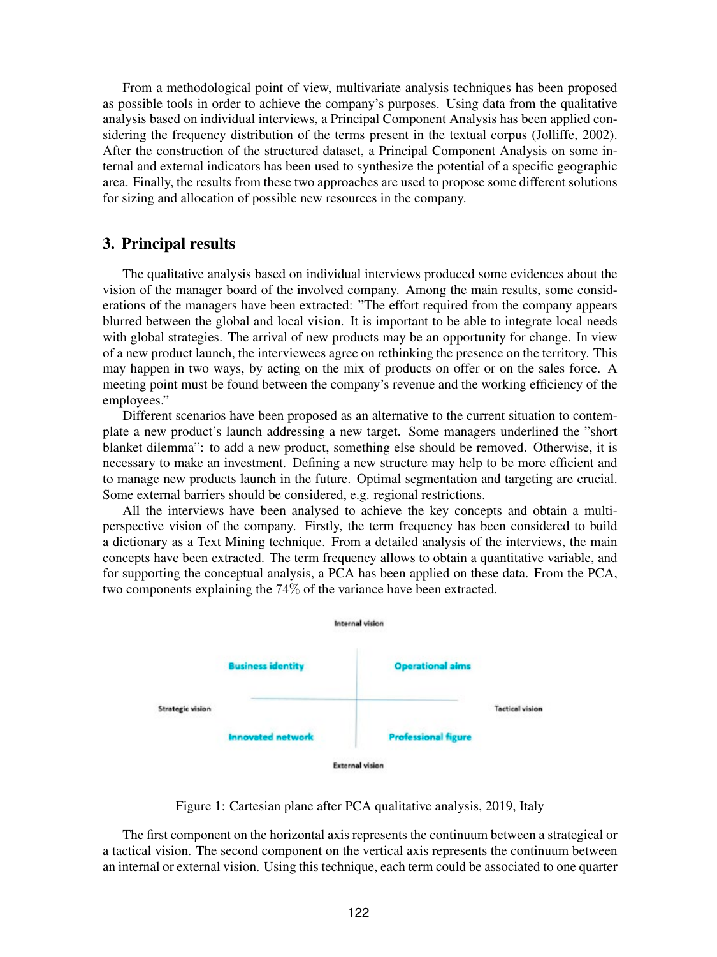From a methodological point of view, multivariate analysis techniques has been proposed as possible tools in order to achieve the company's purposes. Using data from the qualitative analysis based on individual interviews, a Principal Component Analysis has been applied considering the frequency distribution of the terms present in the textual corpus (Jolliffe, 2002). After the construction of the structured dataset, a Principal Component Analysis on some internal and external indicators has been used to synthesize the potential of a specific geographic area. Finally, the results from these two approaches are used to propose some different solutions for sizing and allocation of possible new resources in the company.

## 3. Principal results

The qualitative analysis based on individual interviews produced some evidences about the vision of the manager board of the involved company. Among the main results, some considerations of the managers have been extracted: "The effort required from the company appears blurred between the global and local vision. It is important to be able to integrate local needs with global strategies. The arrival of new products may be an opportunity for change. In view of a new product launch, the interviewees agree on rethinking the presence on the territory. This may happen in two ways, by acting on the mix of products on offer or on the sales force. A meeting point must be found between the company's revenue and the working efficiency of the employees."

Different scenarios have been proposed as an alternative to the current situation to contemplate a new product's launch addressing a new target. Some managers underlined the "short blanket dilemma": to add a new product, something else should be removed. Otherwise, it is necessary to make an investment. Defining a new structure may help to be more efficient and to manage new products launch in the future. Optimal segmentation and targeting are crucial. Some external barriers should be considered, e.g. regional restrictions.

All the interviews have been analysed to achieve the key concepts and obtain a multiperspective vision of the company. Firstly, the term frequency has been considered to build a dictionary as a Text Mining technique. From a detailed analysis of the interviews, the main concepts have been extracted. The term frequency allows to obtain a quantitative variable, and for supporting the conceptual analysis, a PCA has been applied on these data. From the PCA, two components explaining the 74% of the variance have been extracted.



Figure 1: Cartesian plane after PCA qualitative analysis, 2019, Italy

The first component on the horizontal axis represents the continuum between a strategical or a tactical vision. The second component on the vertical axis represents the continuum between an internal or external vision. Using this technique, each term could be associated to one quarter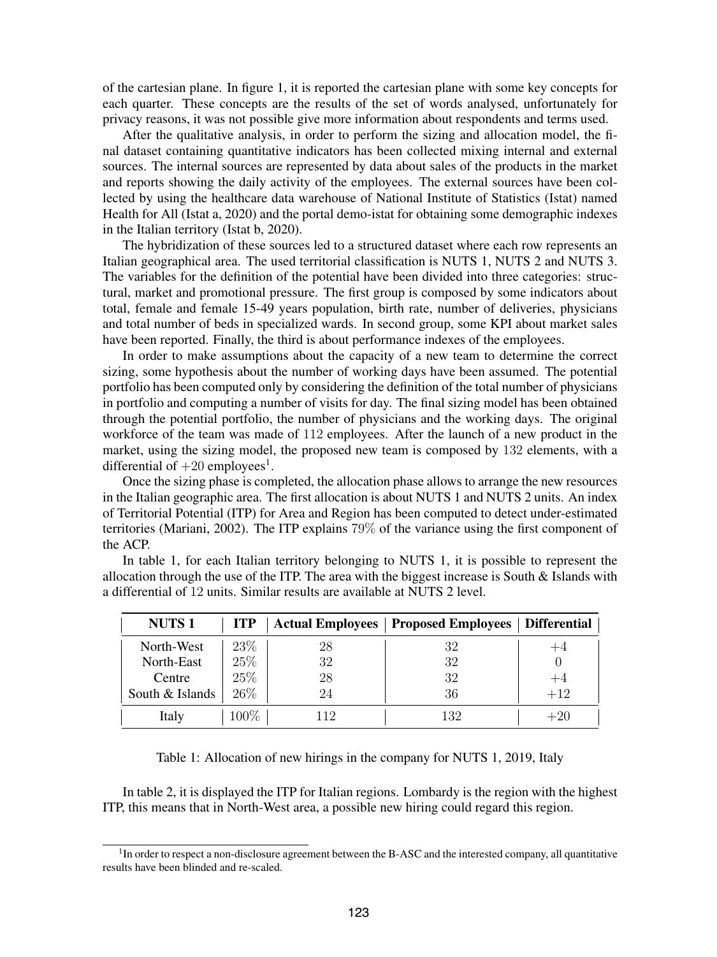of the cartesian plane. In figure 1, it is reported the cartesian plane with some key concepts for each quarter. These concepts are the results of the set of words analysed, unfortunately for privacy reasons, it was not possible give more information about respondents and terms used.

After the qualitative analysis, in order to perform the sizing and allocation model, the final dataset containing quantitative indicators has been collected mixing internal and external sources. The internal sources are represented by data about sales of the products in the market and reports showing the daily activity of the employees. The external sources have been collected by using the healthcare data warehouse of National Institute of Statistics (Istat) named Health for All (Istat a, 2020) and the portal demo-istat for obtaining some demographic indexes in the Italian territory (Istat b, 2020).

The hybridization of these sources led to a structured dataset where each row represents an Italian geographical area. The used territorial classification is NUTS 1, NUTS 2 and NUTS 3. The variables for the definition of the potential have been divided into three categories: structural, market and promotional pressure. The first group is composed by some indicators about total, female and female 15-49 years population, birth rate, number of deliveries, physicians and total number of beds in specialized wards. In second group, some KPI about market sales have been reported. Finally, the third is about performance indexes of the employees.

In order to make assumptions about the capacity of a new team to determine the correct sizing, some hypothesis about the number of working days have been assumed. The potential portfolio has been computed only by considering the definition of the total number of physicians in portfolio and computing a number of visits for day. The final sizing model has been obtained through the potential portfolio, the number of physicians and the working days. The original workforce of the team was made of 112 employees. After the launch of a new product in the market, using the sizing model, the proposed new team is composed by 132 elements, with a differential of  $+20$  employees<sup>1</sup>.

Once the sizing phase is completed, the allocation phase allows to arrange the new resources in the Italian geographic area. The first allocation is about NUTS 1 and NUTS 2 units. An index of Territorial Potential (ITP) for Area and Region has been computed to detect under-estimated territories (Mariani, 2002). The ITP explains 79% of the variance using the first component of the ACP.

In table 1, for each Italian territory belonging to NUTS 1, it is possible to represent the allocation through the use of the ITP. The area with the biggest increase is South  $\&$  Islands with a differential of 12 units. Similar results are available at NUTS 2 level.

| <b>NUTS1</b>    | <b>ITP</b> | <b>Actual Employees</b> | <b>Proposed Employees</b> | <b>Differential</b> |
|-----------------|------------|-------------------------|---------------------------|---------------------|
| North-West      | 23\%       | 28                      | 32                        | $+4$                |
| North-East      | 25%        | 32                      | 32                        |                     |
| Centre          | 25\%       | 28                      | 32                        | $+4$                |
| South & Islands | 26%        | 24                      | 36                        | $+12$               |
| Italy           | $100\%$    | 112                     | 132                       | $+20$               |

Table 1: Allocation of new hirings in the company for NUTS 1, 2019, Italy

In table 2, it is displayed the ITP for Italian regions. Lombardy is the region with the highest ITP, this means that in North-West area, a possible new hiring could regard this region.

<sup>&</sup>lt;sup>1</sup>In order to respect a non-disclosure agreement between the B-ASC and the interested company, all quantitative results have been blinded and re-scaled.